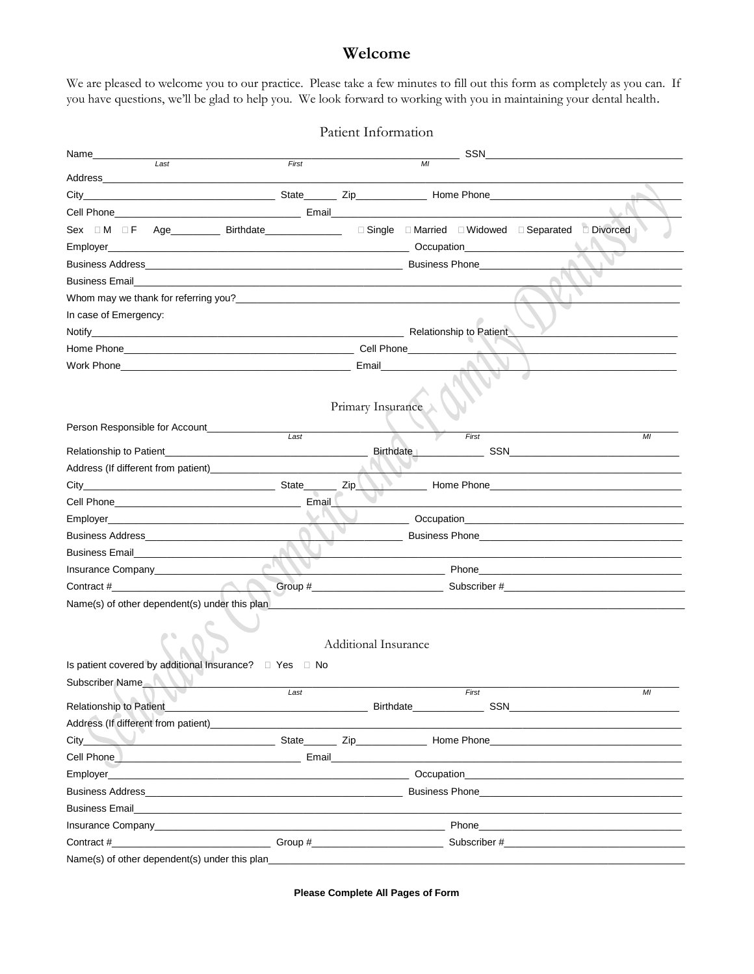## Welcome

We are pleased to welcome you to our practice. Please take a few minutes to fill out this form as completely as you can. If you have questions, we'll be glad to help you. We look forward to working with you in maintaining your dental health.

|                                                                                                                                                                                                                                                   |         | Patient Information  |    |       |                                                                                                                                                                                                                                          |        |
|---------------------------------------------------------------------------------------------------------------------------------------------------------------------------------------------------------------------------------------------------|---------|----------------------|----|-------|------------------------------------------------------------------------------------------------------------------------------------------------------------------------------------------------------------------------------------------|--------|
| Name___________                                                                                                                                                                                                                                   |         |                      |    | SSN   |                                                                                                                                                                                                                                          |        |
| Last                                                                                                                                                                                                                                              | First   |                      | MI |       |                                                                                                                                                                                                                                          |        |
|                                                                                                                                                                                                                                                   |         |                      |    |       |                                                                                                                                                                                                                                          | of the |
| Cell Phone <b>Contract Contract Contract Contract Contract Contract Contract Contract Contract Contract Contract Contract Contract Contract Contract Contract Contract Contract Contract Contract Contract Contract Contract Con</b>              |         |                      |    |       |                                                                                                                                                                                                                                          |        |
| Sex OM OF Age Birthdate Birthdate Disney District Disney Contract Disney Disney Contract Disney Birthdate                                                                                                                                         |         |                      |    |       |                                                                                                                                                                                                                                          |        |
|                                                                                                                                                                                                                                                   |         |                      |    |       |                                                                                                                                                                                                                                          |        |
|                                                                                                                                                                                                                                                   |         |                      |    |       |                                                                                                                                                                                                                                          |        |
|                                                                                                                                                                                                                                                   |         |                      |    |       |                                                                                                                                                                                                                                          |        |
|                                                                                                                                                                                                                                                   |         |                      |    |       |                                                                                                                                                                                                                                          |        |
| In case of Emergency:                                                                                                                                                                                                                             |         |                      |    |       |                                                                                                                                                                                                                                          |        |
|                                                                                                                                                                                                                                                   |         |                      |    |       |                                                                                                                                                                                                                                          |        |
|                                                                                                                                                                                                                                                   |         |                      |    |       |                                                                                                                                                                                                                                          |        |
|                                                                                                                                                                                                                                                   |         |                      |    |       |                                                                                                                                                                                                                                          |        |
|                                                                                                                                                                                                                                                   |         |                      |    |       |                                                                                                                                                                                                                                          |        |
|                                                                                                                                                                                                                                                   |         |                      |    |       |                                                                                                                                                                                                                                          |        |
|                                                                                                                                                                                                                                                   |         | Primary Insurance    |    |       |                                                                                                                                                                                                                                          |        |
| Person Responsible for Account____________                                                                                                                                                                                                        | Last    |                      |    | First |                                                                                                                                                                                                                                          | MI     |
|                                                                                                                                                                                                                                                   |         |                      |    |       | Birthdate SSN SSN STATE AND A RESERVE AT A RESERVE AND A RESERVE AND A RESERVE AND A RESERVE AND A RESERVE AND A RESERVE AND A RESERVE AND A RESERVE AND A RESERVE AND A RESERVE A RESERVE AND A RESERVE AND A RESERVE A RESER           |        |
|                                                                                                                                                                                                                                                   |         |                      |    |       |                                                                                                                                                                                                                                          |        |
|                                                                                                                                                                                                                                                   |         |                      |    |       | <b>Example 2018 Phone 2018 Phone 2018 Phone 2018 Phone 2018 Phone 2018 Phone 2018 Phone 2018 Phone 2018 Phone 20</b>                                                                                                                     |        |
|                                                                                                                                                                                                                                                   | Email L |                      |    |       | the control of the control of the control of the control of the control of the control of the control of the control of the control of the control of the control of the control of the control of the control of the control            |        |
|                                                                                                                                                                                                                                                   |         |                      |    |       | <b>Occupation CONSUMING CONSUMING CONSUMING CONSUMING CONSUMING CONSUMING CONSUMING CONSUMING CONSUMING CONSUMING CONSUMING CONSUMING CONSUMING CONSUMING CONSUMING CONSUMING CONSUMING CONSUMING CONSUMING CONSUMING CONSUMIN</b>       |        |
|                                                                                                                                                                                                                                                   |         |                      |    |       | Business Phone <b>Example 20</b> Phone <b>Example 20</b> Phone 20 Phone 20 Phone 20 Phone 20 Phone 20 Phone 20 Phone 20 Phone 20 Phone 20 Phone 20 Phone 20 Phone 20 Phone 20 Phone 20 Phone 20 Phone 20 Phone 20 Phone 20 Phone 20 Phon |        |
|                                                                                                                                                                                                                                                   |         |                      |    |       |                                                                                                                                                                                                                                          |        |
|                                                                                                                                                                                                                                                   |         |                      |    |       |                                                                                                                                                                                                                                          |        |
|                                                                                                                                                                                                                                                   |         |                      |    |       |                                                                                                                                                                                                                                          |        |
| Name(s) of other dependent(s) under this plan                                                                                                                                                                                                     |         |                      |    |       |                                                                                                                                                                                                                                          |        |
|                                                                                                                                                                                                                                                   |         |                      |    |       |                                                                                                                                                                                                                                          |        |
|                                                                                                                                                                                                                                                   |         |                      |    |       |                                                                                                                                                                                                                                          |        |
|                                                                                                                                                                                                                                                   |         | Additional Insurance |    |       |                                                                                                                                                                                                                                          |        |
|                                                                                                                                                                                                                                                   |         |                      |    |       |                                                                                                                                                                                                                                          |        |
| Subscriber Name                                                                                                                                                                                                                                   | Last    |                      |    | First |                                                                                                                                                                                                                                          | MI     |
| Relationship to Patient                                                                                                                                                                                                                           |         |                      |    |       |                                                                                                                                                                                                                                          |        |
| Address (If different from patient) <b>Address (If all the state of the state of the state of the state of the state of the state of the state of the state of the state of the state of the state of the state of the state of </b>              |         |                      |    |       |                                                                                                                                                                                                                                          |        |
| and the state of the State State State State State State State State State State State State State State State State State State State State State State State State State State State State State State State State State Sta<br>$City$ $\qquad$ |         |                      |    |       |                                                                                                                                                                                                                                          |        |
| <b>Cell Phone Contract Contract Contract Contract Contract Contract Contract Contract Contract Contract Contract Contract Contract Contract Contract Contract Contract Contract Contract Contract Contract Contract Contract C</b>                |         |                      |    |       |                                                                                                                                                                                                                                          |        |
|                                                                                                                                                                                                                                                   |         |                      |    |       |                                                                                                                                                                                                                                          |        |
| Business Address <b>Contract Contract Contract Contract Contract Contract Contract Contract Contract Contract Contract Contract Contract Contract Contract Contract Contract Contract Contract Contract Contract Contract Contra</b>              |         |                      |    |       | Business Phone <b>Example 20</b> Phone <b>Example 20</b> Phone 20 Phone 20 Phone 20 Phone 20 Phone 20 Phone 20 Phone 20 Phone 20 Phone 20 Phone 20 Phone 20 Phone 20 Phone 20 Phone 20 Phone 20 Phone 20 Phone 20 Phone 20 Phone 20 Phon |        |
| <b>Business Email Example 20 Contract 20 August 20 August 20 August 20 August 20 August 20 August 20 August 20 August 20 August 20 August 20 August 20 August 20 August 20 August 20 August 20 August 20 August 20 August 20</b>                  |         |                      |    |       |                                                                                                                                                                                                                                          |        |
| Insurance Company <b>Executive Company Executive Company Executive Company</b>                                                                                                                                                                    |         |                      |    |       | <b>Phone <i>Company Company Company Company Company Company Company</i></b>                                                                                                                                                              |        |
|                                                                                                                                                                                                                                                   |         |                      |    |       |                                                                                                                                                                                                                                          |        |
|                                                                                                                                                                                                                                                   |         |                      |    |       |                                                                                                                                                                                                                                          |        |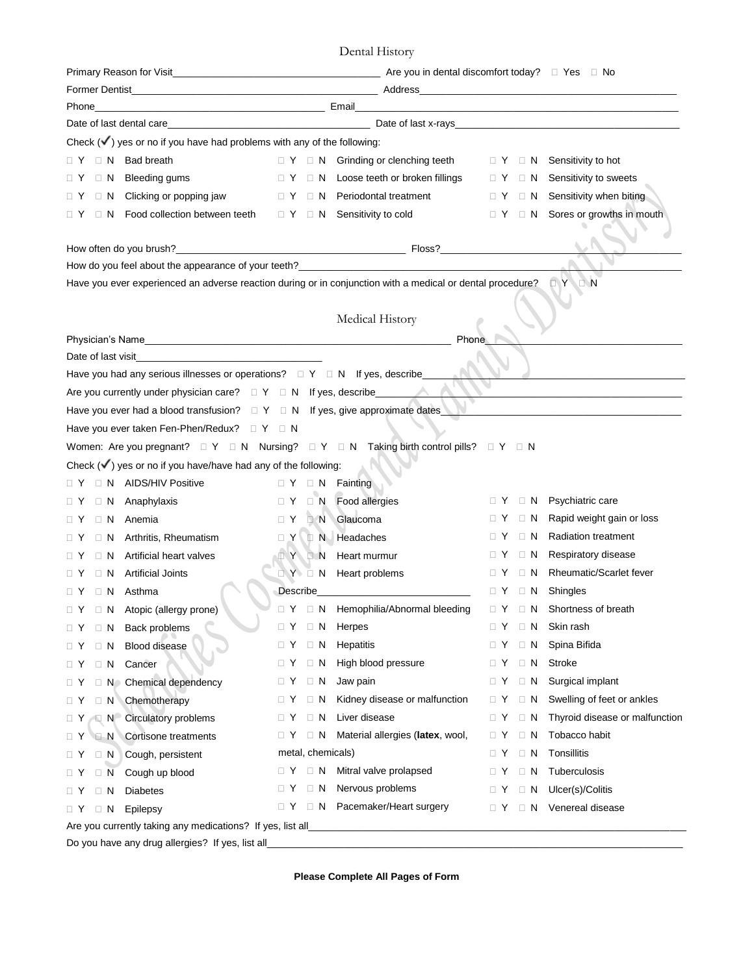| Date of last dental care experience and the contract of last x-rays and the contract of last dental care and the contract of last x-rays and the contract of last x-rays and the contract of the contract of the contract of t |                                                                                                                                                                                                                                     |                                                                  |                                     |                                           |  |  |  |  |  |  |
|--------------------------------------------------------------------------------------------------------------------------------------------------------------------------------------------------------------------------------|-------------------------------------------------------------------------------------------------------------------------------------------------------------------------------------------------------------------------------------|------------------------------------------------------------------|-------------------------------------|-------------------------------------------|--|--|--|--|--|--|
| Check $(\checkmark)$ yes or no if you have had problems with any of the following:                                                                                                                                             |                                                                                                                                                                                                                                     |                                                                  |                                     |                                           |  |  |  |  |  |  |
| $\Box$ N Bad breath<br>$\Box$ Y                                                                                                                                                                                                | $\Box$ Y $\Box$ N Grinding or clenching teeth                                                                                                                                                                                       |                                                                  |                                     | $\Box$ Y $\Box$ N Sensitivity to hot      |  |  |  |  |  |  |
| $\Box$ N Bleeding gums<br>$\Box$ Y                                                                                                                                                                                             | $\Box$ Y $\Box$ N Loose teeth or broken fillings                                                                                                                                                                                    |                                                                  |                                     | □ Y □ N Sensitivity to sweets             |  |  |  |  |  |  |
| $\Box$ N Clicking or popping jaw<br>$\Box$ Y                                                                                                                                                                                   | $\Box$ Y $\Box$ N Periodontal treatment                                                                                                                                                                                             |                                                                  |                                     | $\Box$ Y $\Box$ N Sensitivity when biting |  |  |  |  |  |  |
| □ N Food collection between teeth<br>ΩY                                                                                                                                                                                        | □ Y □ N Sensitivity to cold                                                                                                                                                                                                         |                                                                  |                                     | □ Y □ N Sores or growths in mouth         |  |  |  |  |  |  |
|                                                                                                                                                                                                                                |                                                                                                                                                                                                                                     |                                                                  |                                     |                                           |  |  |  |  |  |  |
|                                                                                                                                                                                                                                |                                                                                                                                                                                                                                     |                                                                  |                                     |                                           |  |  |  |  |  |  |
|                                                                                                                                                                                                                                |                                                                                                                                                                                                                                     |                                                                  |                                     |                                           |  |  |  |  |  |  |
| Have you ever experienced an adverse reaction during or in conjunction with a medical or dental procedure? $\Box$ $Y \Box N$                                                                                                   |                                                                                                                                                                                                                                     |                                                                  |                                     |                                           |  |  |  |  |  |  |
|                                                                                                                                                                                                                                |                                                                                                                                                                                                                                     |                                                                  |                                     |                                           |  |  |  |  |  |  |
|                                                                                                                                                                                                                                | Medical History                                                                                                                                                                                                                     |                                                                  |                                     |                                           |  |  |  |  |  |  |
| Physician's Name                                                                                                                                                                                                               |                                                                                                                                                                                                                                     | Phone                                                            |                                     |                                           |  |  |  |  |  |  |
| Date of last visit                                                                                                                                                                                                             |                                                                                                                                                                                                                                     |                                                                  |                                     |                                           |  |  |  |  |  |  |
| Have you had any serious illnesses or operations? $\Box Y \Box N$ If yes, describe___                                                                                                                                          |                                                                                                                                                                                                                                     |                                                                  |                                     |                                           |  |  |  |  |  |  |
|                                                                                                                                                                                                                                |                                                                                                                                                                                                                                     |                                                                  |                                     |                                           |  |  |  |  |  |  |
| Have you ever had a blood transfusion? $\square Y \square N$ If yes, give approximate dates                                                                                                                                    |                                                                                                                                                                                                                                     |                                                                  |                                     |                                           |  |  |  |  |  |  |
|                                                                                                                                                                                                                                |                                                                                                                                                                                                                                     |                                                                  |                                     |                                           |  |  |  |  |  |  |
| Women: Are you pregnant? $\Box Y \Box N$ Nursing? $\Box Y \Box N$ Taking birth control pills? $\Box Y \Box N$                                                                                                                  |                                                                                                                                                                                                                                     |                                                                  |                                     |                                           |  |  |  |  |  |  |
| Check $(\checkmark)$ yes or no if you have/have had any of the following:                                                                                                                                                      |                                                                                                                                                                                                                                     |                                                                  |                                     |                                           |  |  |  |  |  |  |
| □ N AIDS/HIV Positive<br>∏ Y                                                                                                                                                                                                   | $\Box Y \Box N$ Fainting                                                                                                                                                                                                            |                                                                  |                                     |                                           |  |  |  |  |  |  |
| $\Box$ N Anaphylaxis<br>$\Box$ Y                                                                                                                                                                                               | I Y I N Food allergies                                                                                                                                                                                                              |                                                                  |                                     | $\Box$ Y $\Box$ N Psychiatric care        |  |  |  |  |  |  |
| $\Box$ N Anemia<br>$\Box$ Y                                                                                                                                                                                                    | I Y N Glaucoma                                                                                                                                                                                                                      | $\Box$ Y                                                         | $\Box$ N                            | Rapid weight gain or loss                 |  |  |  |  |  |  |
| □ N Arthritis, Rheumatism<br>$\sqcap$ Y                                                                                                                                                                                        | I Y I N Headaches                                                                                                                                                                                                                   |                                                                  | $\Box$ $\Upsilon$ $\Box$ $\Upsilon$ | <b>Radiation treatment</b>                |  |  |  |  |  |  |
| $\Box$ N Artificial heart valves                                                                                                                                                                                               | I Y I N Heart murmur                                                                                                                                                                                                                | $\Box$ Y                                                         |                                     | □ N Respiratory disease                   |  |  |  |  |  |  |
| Artificial Joints<br>$\Box$ N<br>$\Box$ Y                                                                                                                                                                                      | $\Box Y$ $\Box N$ Heart problems                                                                                                                                                                                                    | $\Box$ Y                                                         | $\Box$ N                            | <b>Rheumatic/Scarlet fever</b>            |  |  |  |  |  |  |
| $\Box$ Y $\Box$ N Asthma                                                                                                                                                                                                       | Describe <b>Example 20</b> Personal property of the set of the set of the set of the set of the set of the set of the set of the set of the set of the set of the set of the set of the set of the set of the set of the set of the |                                                                  | $\Box$ $Y$ $\Box$ $N$               | Shingles                                  |  |  |  |  |  |  |
| □ Y □ N Atopic (allergy prone)                                                                                                                                                                                                 |                                                                                                                                                                                                                                     | □ Y □ N Hemophilia/Abnormal bleeding □ Y □ N Shortness of breath |                                     |                                           |  |  |  |  |  |  |
| Back problems<br>$\Box$ N<br>$\Box$ Y                                                                                                                                                                                          | $\Box$ N<br>Herpes<br>$\Box$ Y                                                                                                                                                                                                      | $\Box$ Y                                                         | $\Box$ N                            | Skin rash                                 |  |  |  |  |  |  |
| <b>Blood disease</b><br>$\Box$ N<br>$\Box$ Y                                                                                                                                                                                   | $\Box$ N<br>Hepatitis<br>$\Box$ Y                                                                                                                                                                                                   | $\Box$ Y                                                         | $\Box$ N                            | Spina Bifida                              |  |  |  |  |  |  |
| Cancer<br>$\Box$ N<br>$\Box$ Y                                                                                                                                                                                                 | High blood pressure<br>$\Box$ Y<br>$\Box$ N                                                                                                                                                                                         | $\Box$ Y                                                         | $\Box$ N                            | Stroke                                    |  |  |  |  |  |  |
| □ N Chemical dependency<br>$\sqcup$ Y                                                                                                                                                                                          | $\Box$ N<br>Jaw pain<br>$\Box$ Y                                                                                                                                                                                                    | $\Box$ Y                                                         | $\Box$ N                            | Surgical implant                          |  |  |  |  |  |  |
| □ N Chemotherapy<br>$\Box$ Y                                                                                                                                                                                                   | $\Box$ N<br>$\Box$ Y                                                                                                                                                                                                                | Kidney disease or malfunction<br>$\Box$ Y                        | $\Box$ N                            | Swelling of feet or ankles                |  |  |  |  |  |  |
| Circulatory problems<br>$\Box$ Y<br>$\Box$ N                                                                                                                                                                                   | $\Box$ N<br>Liver disease<br>$\Box$ Y                                                                                                                                                                                               | $\Box$ Y                                                         | $\Box$ N                            | Thyroid disease or malfunction            |  |  |  |  |  |  |
| N Cortisone treatments<br>$\Box$ Y                                                                                                                                                                                             | $\Box$ N<br>$\Box$ Y                                                                                                                                                                                                                | Material allergies (latex, wool,<br>$\Box$ Y                     | $\Box$ N                            | Tobacco habit                             |  |  |  |  |  |  |
| $\Box$ N<br>Cough, persistent<br>$\Box$ Y                                                                                                                                                                                      | metal, chemicals)                                                                                                                                                                                                                   | $\Box$ Y                                                         | $\Box$ N                            | Tonsillitis                               |  |  |  |  |  |  |
| $\Box$ N Cough up blood<br>$\Box$ Y                                                                                                                                                                                            | Mitral valve prolapsed<br>$\Box$ N<br>$\Box$ Y                                                                                                                                                                                      | $\Box$ Y                                                         | $\Box$ N                            | Tuberculosis                              |  |  |  |  |  |  |
| $\Box$ N<br><b>Diabetes</b><br>$\Box$ Y                                                                                                                                                                                        | Nervous problems<br>$\Box$ Y<br>$\Box$ N                                                                                                                                                                                            | $\Box$ Y                                                         | $\Box$ N                            | Ulcer(s)/Colitis                          |  |  |  |  |  |  |
| Epilepsy<br>$\Box$ Y<br>$\Box$ N                                                                                                                                                                                               | □ N Pacemaker/Heart surgery<br>$\Box$ Y                                                                                                                                                                                             | $\Box$ Y                                                         | $\Box$ N                            | Venereal disease                          |  |  |  |  |  |  |
| Are you currently taking any medications? If yes, list all_                                                                                                                                                                    |                                                                                                                                                                                                                                     |                                                                  |                                     |                                           |  |  |  |  |  |  |

Do you have any drug allergies? If yes, list all\_\_\_\_\_\_\_\_\_\_\_\_\_\_\_\_\_\_\_\_\_\_\_\_\_\_\_\_\_\_\_\_\_\_\_\_\_\_\_\_\_\_\_\_\_\_\_\_\_\_\_\_\_\_\_\_\_\_\_\_\_\_\_\_\_\_\_\_\_\_\_\_\_\_\_\_